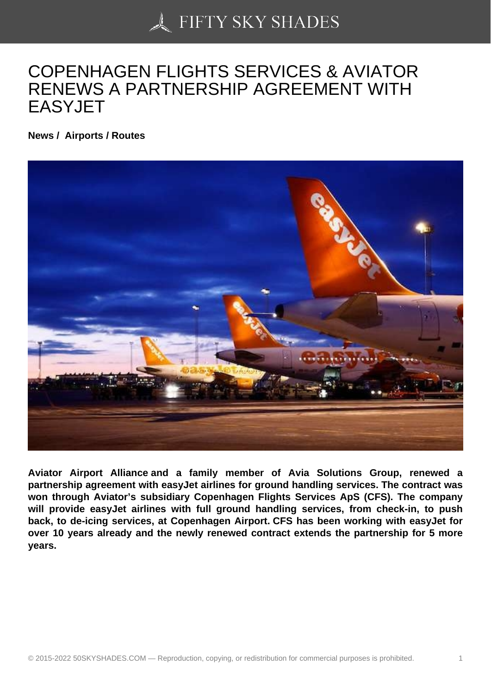## [COPENHAGEN FLIGH](https://50skyshades.com)TS SERVICES & AVIATOR RENEWS A PARTNERSHIP AGREEMENT WITH EASYJET

News / Airports / Routes

Aviator Airport Alliance and a family member of Avia Solutions Group, renewed a partnership agreement with easyJet airlines for ground handling services. The contract was won through Aviator's subsidiary Copenhagen Flights Services ApS (CFS). The company will provide easyJet airlines with full ground handling services, from check-in, to push back, to de-icing services, at Copenhagen Airport. CFS has been working with easyJet for over 10 years already and the newly renewed contract extends the partnership for 5 more years.